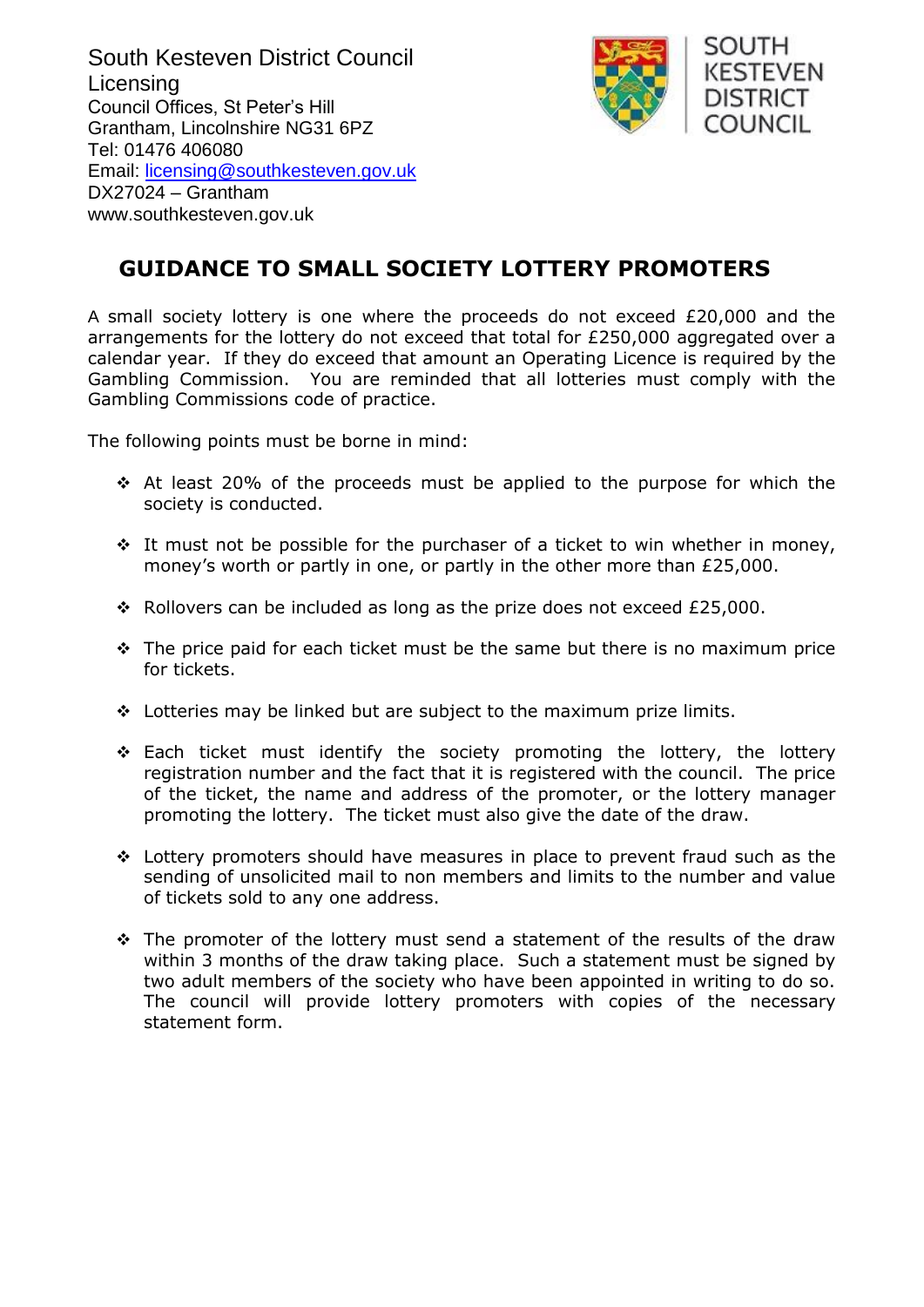South Kesteven District Council **Licensing** Council Offices, St Peter's Hill Grantham, Lincolnshire NG31 6PZ Tel: 01476 406080 Email: [licensing@southkesteven.gov.uk](mailto:licensing@southkesteven.gov.uk) DX27024 – Grantham www.southkesteven.gov.uk



## **GUIDANCE TO SMALL SOCIETY LOTTERY PROMOTERS**

A small society lottery is one where the proceeds do not exceed £20,000 and the arrangements for the lottery do not exceed that total for £250,000 aggregated over a calendar year. If they do exceed that amount an Operating Licence is required by the Gambling Commission. You are reminded that all lotteries must comply with the Gambling Commissions code of practice.

The following points must be borne in mind:

- ❖ At least 20% of the proceeds must be applied to the purpose for which the society is conducted.
- ❖ It must not be possible for the purchaser of a ticket to win whether in money, money's worth or partly in one, or partly in the other more than £25,000.
- ❖ Rollovers can be included as long as the prize does not exceed £25,000.
- ❖ The price paid for each ticket must be the same but there is no maximum price for tickets.
- ❖ Lotteries may be linked but are subject to the maximum prize limits.
- $\div$  Each ticket must identify the society promoting the lottery, the lottery registration number and the fact that it is registered with the council. The price of the ticket, the name and address of the promoter, or the lottery manager promoting the lottery. The ticket must also give the date of the draw.
- ❖ Lottery promoters should have measures in place to prevent fraud such as the sending of unsolicited mail to non members and limits to the number and value of tickets sold to any one address.
- ❖ The promoter of the lottery must send a statement of the results of the draw within 3 months of the draw taking place. Such a statement must be signed by two adult members of the society who have been appointed in writing to do so. The council will provide lottery promoters with copies of the necessary statement form.